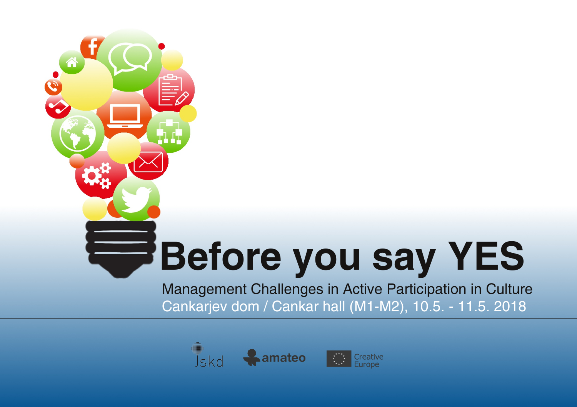## **Before you say YES**

Management Challenges in Active Participation in Culture Cankarjev dom / Cankar hall (M1-M2), 10.5. - 11.5. 2018